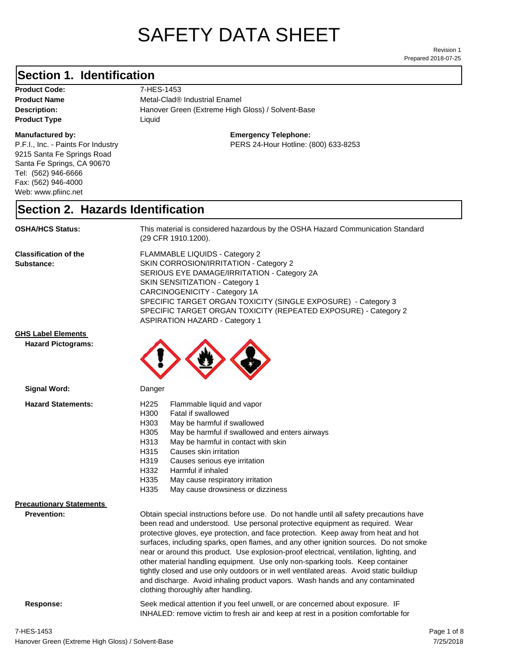# SAFETY DATA SHEET

Prepared 2018-07-25 Revision 1

#### **Section 1. Identification**

Product Code: 7-HES-1453 **Product Type Liquid Liquid** 

#### **Manufactured by:**

P.F.I., Inc. - Paints For Industry 9215 Santa Fe Springs Road Santa Fe Springs, CA 90670 Tel: (562) 946-6666 Fax: (562) 946-4000 Web: www.pfiinc.net

**Description:** Hanover Green (Extreme High Gloss) / Solvent-Base **Product Name** Metal-Clad® Industrial Enamel

**Emergency Telephone:**

PERS 24-Hour Hotline: (800) 633-8253

#### **Section 2. Hazards Identification**

**OSHA/HCS Status:** This material is considered hazardous by the OSHA Hazard Communication Standard (29 CFR 1910.1200).

**Classification of the Substance:**

FLAMMABLE LIQUIDS - Category 2 SKIN CORROSION/IRRITATION - Category 2 SERIOUS EYE DAMAGE/IRRITATION - Category 2A SKIN SENSITIZATION - Category 1 CARCINOGENICITY - Category 1A SPECIFIC TARGET ORGAN TOXICITY (SINGLE EXPOSURE) - Category 3 SPECIFIC TARGET ORGAN TOXICITY (REPEATED EXPOSURE) - Category 2 ASPIRATION HAZARD - Category 1

#### **GHS Label Elements**

**Signal Word:**

**Hazard Pictograms:**



| <b>Hazard Statements:</b>       | Flammable liquid and vapor<br>H <sub>225</sub><br>H300<br>Fatal if swallowed<br>H303<br>May be harmful if swallowed<br>H305<br>May be harmful if swallowed and enters airways<br>May be harmful in contact with skin<br>H313<br>H315<br>Causes skin irritation<br>H319<br>Causes serious eye irritation<br>H332<br>Harmful if inhaled                                                                                                                                                                                                                                                                                                                                                                                                                    |
|---------------------------------|----------------------------------------------------------------------------------------------------------------------------------------------------------------------------------------------------------------------------------------------------------------------------------------------------------------------------------------------------------------------------------------------------------------------------------------------------------------------------------------------------------------------------------------------------------------------------------------------------------------------------------------------------------------------------------------------------------------------------------------------------------|
|                                 | H335<br>May cause respiratory irritation                                                                                                                                                                                                                                                                                                                                                                                                                                                                                                                                                                                                                                                                                                                 |
|                                 | H335<br>May cause drowsiness or dizziness                                                                                                                                                                                                                                                                                                                                                                                                                                                                                                                                                                                                                                                                                                                |
| <b>Precautionary Statements</b> |                                                                                                                                                                                                                                                                                                                                                                                                                                                                                                                                                                                                                                                                                                                                                          |
| <b>Prevention:</b>              | Obtain special instructions before use. Do not handle until all safety precautions have<br>been read and understood. Use personal protective equipment as required. Wear<br>protective gloves, eye protection, and face protection. Keep away from heat and hot<br>surfaces, including sparks, open flames, and any other ignition sources. Do not smoke<br>near or around this product. Use explosion-proof electrical, ventilation, lighting, and<br>other material handling equipment. Use only non-sparking tools. Keep container<br>tightly closed and use only outdoors or in well ventilated areas. Avoid static buildiup<br>and discharge. Avoid inhaling product vapors. Wash hands and any contaminated<br>clothing thoroughly after handling. |

**Response:** Seek medical attention if you feel unwell, or are concerned about exposure. IF INHALED: remove victim to fresh air and keep at rest in a position comfortable for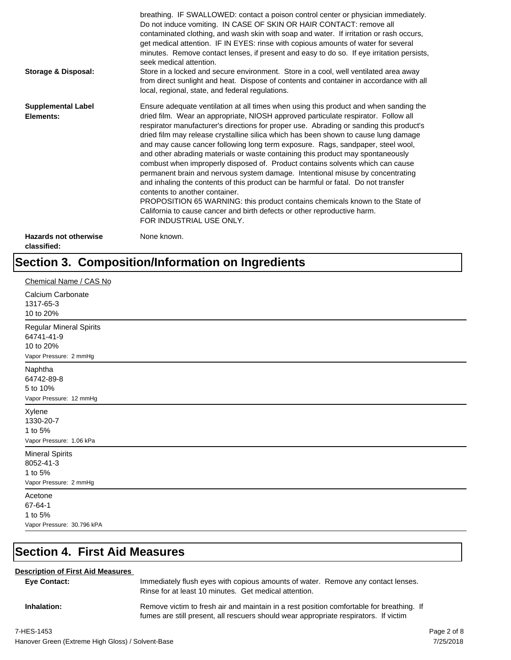| <b>Storage &amp; Disposal:</b>              | breathing. IF SWALLOWED: contact a poison control center or physician immediately.<br>Do not induce vomiting. IN CASE OF SKIN OR HAIR CONTACT: remove all<br>contaminated clothing, and wash skin with soap and water. If irritation or rash occurs,<br>get medical attention. IF IN EYES: rinse with copious amounts of water for several<br>minutes. Remove contact lenses, if present and easy to do so. If eye irritation persists,<br>seek medical attention.<br>Store in a locked and secure environment. Store in a cool, well ventilated area away<br>from direct sunlight and heat. Dispose of contents and container in accordance with all<br>local, regional, state, and federal regulations.                                                                                                                                                                                                                                                                                                                |
|---------------------------------------------|--------------------------------------------------------------------------------------------------------------------------------------------------------------------------------------------------------------------------------------------------------------------------------------------------------------------------------------------------------------------------------------------------------------------------------------------------------------------------------------------------------------------------------------------------------------------------------------------------------------------------------------------------------------------------------------------------------------------------------------------------------------------------------------------------------------------------------------------------------------------------------------------------------------------------------------------------------------------------------------------------------------------------|
| <b>Supplemental Label</b><br>Elements:      | Ensure adequate ventilation at all times when using this product and when sanding the<br>dried film. Wear an appropriate, NIOSH approved particulate respirator. Follow all<br>respirator manufacturer's directions for proper use. Abrading or sanding this product's<br>dried film may release crystalline silica which has been shown to cause lung damage<br>and may cause cancer following long term exposure. Rags, sandpaper, steel wool,<br>and other abrading materials or waste containing this product may spontaneously<br>combust when improperly disposed of. Product contains solvents which can cause<br>permanent brain and nervous system damage. Intentional misuse by concentrating<br>and inhaling the contents of this product can be harmful or fatal. Do not transfer<br>contents to another container.<br>PROPOSITION 65 WARNING: this product contains chemicals known to the State of<br>California to cause cancer and birth defects or other reproductive harm.<br>FOR INDUSTRIAL USE ONLY. |
| <b>Hazards not otherwise</b><br>classified: | None known.                                                                                                                                                                                                                                                                                                                                                                                                                                                                                                                                                                                                                                                                                                                                                                                                                                                                                                                                                                                                              |

## **Section 3. Composition/Information on Ingredients**

| Chemical Name / CAS No                                                       |
|------------------------------------------------------------------------------|
| Calcium Carbonate<br>1317-65-3<br>10 to 20%                                  |
| Regular Mineral Spirits<br>64741-41-9<br>10 to 20%<br>Vapor Pressure: 2 mmHg |
| Naphtha<br>64742-89-8<br>5 to 10%<br>Vapor Pressure: 12 mmHg                 |
| Xylene<br>1330-20-7<br>1 to 5%<br>Vapor Pressure: 1.06 kPa                   |
| <b>Mineral Spirits</b><br>8052-41-3<br>1 to 5%<br>Vapor Pressure: 2 mmHg     |
| Acetone<br>67-64-1<br>1 to 5%<br>Vapor Pressure: 30.796 kPA                  |

## **Section 4. First Aid Measures**

#### **Description of First Aid Measures**

| <b>Eve Contact:</b> | Immediately flush eyes with copious amounts of water. Remove any contact lenses.<br>Rinse for at least 10 minutes. Get medical attention.                                        |
|---------------------|----------------------------------------------------------------------------------------------------------------------------------------------------------------------------------|
| Inhalation:         | Remove victim to fresh air and maintain in a rest position comfortable for breathing. If<br>fumes are still present, all rescuers should wear appropriate respirators. If victim |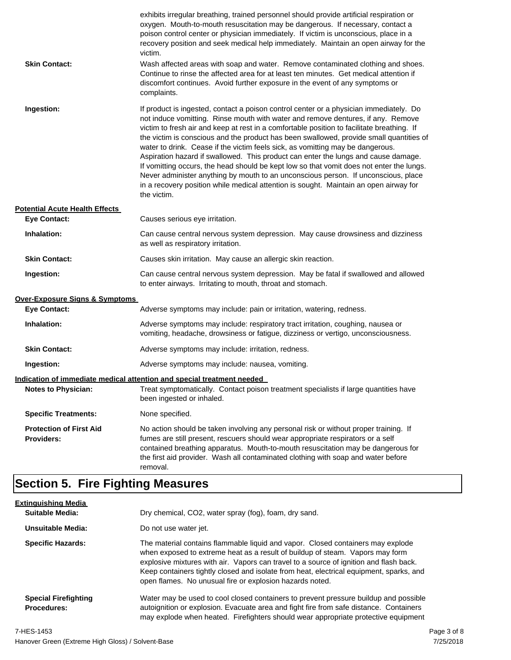| <b>Skin Contact:</b>                                | exhibits irregular breathing, trained personnel should provide artificial respiration or<br>oxygen. Mouth-to-mouth resuscitation may be dangerous. If necessary, contact a<br>poison control center or physician immediately. If victim is unconscious, place in a<br>recovery position and seek medical help immediately. Maintain an open airway for the<br>victim.<br>Wash affected areas with soap and water. Remove contaminated clothing and shoes.<br>Continue to rinse the affected area for at least ten minutes. Get medical attention if<br>discomfort continues. Avoid further exposure in the event of any symptoms or<br>complaints.                                                                                                                                                                                    |
|-----------------------------------------------------|---------------------------------------------------------------------------------------------------------------------------------------------------------------------------------------------------------------------------------------------------------------------------------------------------------------------------------------------------------------------------------------------------------------------------------------------------------------------------------------------------------------------------------------------------------------------------------------------------------------------------------------------------------------------------------------------------------------------------------------------------------------------------------------------------------------------------------------|
| Ingestion:                                          | If product is ingested, contact a poison control center or a physician immediately. Do<br>not induce vomitting. Rinse mouth with water and remove dentures, if any. Remove<br>victim to fresh air and keep at rest in a comfortable position to facilitate breathing. If<br>the victim is conscious and the product has been swallowed, provide small quantities of<br>water to drink. Cease if the victim feels sick, as vomitting may be dangerous.<br>Aspiration hazard if swallowed. This product can enter the lungs and cause damage.<br>If vomitting occurs, the head should be kept low so that vomit does not enter the lungs.<br>Never administer anything by mouth to an unconscious person. If unconscious, place<br>in a recovery position while medical attention is sought. Maintain an open airway for<br>the victim. |
| <b>Potential Acute Health Effects</b>               |                                                                                                                                                                                                                                                                                                                                                                                                                                                                                                                                                                                                                                                                                                                                                                                                                                       |
| <b>Eye Contact:</b>                                 | Causes serious eye irritation.                                                                                                                                                                                                                                                                                                                                                                                                                                                                                                                                                                                                                                                                                                                                                                                                        |
| Inhalation:                                         | Can cause central nervous system depression. May cause drowsiness and dizziness<br>as well as respiratory irritation.                                                                                                                                                                                                                                                                                                                                                                                                                                                                                                                                                                                                                                                                                                                 |
| <b>Skin Contact:</b>                                | Causes skin irritation. May cause an allergic skin reaction.                                                                                                                                                                                                                                                                                                                                                                                                                                                                                                                                                                                                                                                                                                                                                                          |
| Ingestion:                                          | Can cause central nervous system depression. May be fatal if swallowed and allowed<br>to enter airways. Irritating to mouth, throat and stomach.                                                                                                                                                                                                                                                                                                                                                                                                                                                                                                                                                                                                                                                                                      |
| <b>Over-Exposure Signs &amp; Symptoms</b>           |                                                                                                                                                                                                                                                                                                                                                                                                                                                                                                                                                                                                                                                                                                                                                                                                                                       |
| <b>Eye Contact:</b>                                 | Adverse symptoms may include: pain or irritation, watering, redness.                                                                                                                                                                                                                                                                                                                                                                                                                                                                                                                                                                                                                                                                                                                                                                  |
| Inhalation:                                         | Adverse symptoms may include: respiratory tract irritation, coughing, nausea or<br>vomiting, headache, drowsiness or fatigue, dizziness or vertigo, unconsciousness.                                                                                                                                                                                                                                                                                                                                                                                                                                                                                                                                                                                                                                                                  |
| <b>Skin Contact:</b>                                | Adverse symptoms may include: irritation, redness.                                                                                                                                                                                                                                                                                                                                                                                                                                                                                                                                                                                                                                                                                                                                                                                    |
| Ingestion:                                          | Adverse symptoms may include: nausea, vomiting.                                                                                                                                                                                                                                                                                                                                                                                                                                                                                                                                                                                                                                                                                                                                                                                       |
|                                                     | Indication of immediate medical attention and special treatment needed                                                                                                                                                                                                                                                                                                                                                                                                                                                                                                                                                                                                                                                                                                                                                                |
| <b>Notes to Physician:</b>                          | Treat symptomatically. Contact poison treatment specialists if large quantities have<br>been ingested or inhaled.                                                                                                                                                                                                                                                                                                                                                                                                                                                                                                                                                                                                                                                                                                                     |
| <b>Specific Treatments:</b>                         | None specified.                                                                                                                                                                                                                                                                                                                                                                                                                                                                                                                                                                                                                                                                                                                                                                                                                       |
| <b>Protection of First Aid</b><br><b>Providers:</b> | No action should be taken involving any personal risk or without proper training. If<br>fumes are still present, rescuers should wear appropriate respirators or a self<br>contained breathing apparatus. Mouth-to-mouth resuscitation may be dangerous for<br>the first aid provider. Wash all contaminated clothing with soap and water before<br>removal.                                                                                                                                                                                                                                                                                                                                                                                                                                                                          |

## **Section 5. Fire Fighting Measures**

| <b>Extinguishing Media</b>                        |                                                                                                                                                                                                                                                                                                                                                                                                                   |
|---------------------------------------------------|-------------------------------------------------------------------------------------------------------------------------------------------------------------------------------------------------------------------------------------------------------------------------------------------------------------------------------------------------------------------------------------------------------------------|
| Suitable Media:                                   | Dry chemical, CO2, water spray (fog), foam, dry sand.                                                                                                                                                                                                                                                                                                                                                             |
| Unsuitable Media:                                 | Do not use water jet.                                                                                                                                                                                                                                                                                                                                                                                             |
| <b>Specific Hazards:</b>                          | The material contains flammable liquid and vapor. Closed containers may explode<br>when exposed to extreme heat as a result of buildup of steam. Vapors may form<br>explosive mixtures with air. Vapors can travel to a source of ignition and flash back.<br>Keep containers tightly closed and isolate from heat, electrical equipment, sparks, and<br>open flames. No unusual fire or explosion hazards noted. |
| <b>Special Firefighting</b><br><b>Procedures:</b> | Water may be used to cool closed containers to prevent pressure buildup and possible<br>autoignition or explosion. Evacuate area and fight fire from safe distance. Containers<br>may explode when heated. Firefighters should wear appropriate protective equipment                                                                                                                                              |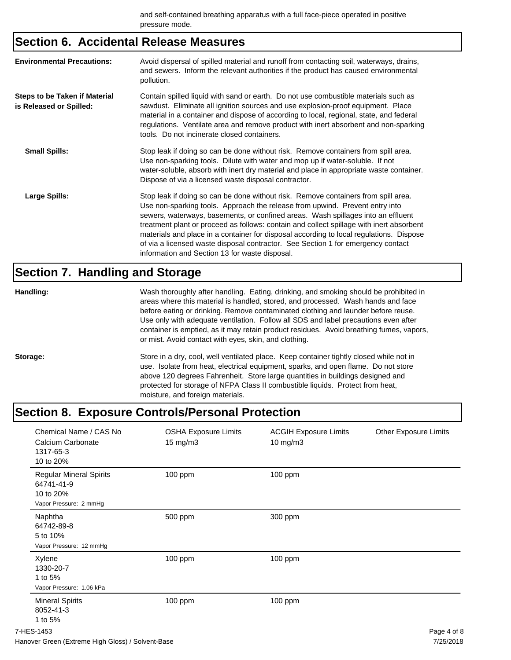## **Section 6. Accidental Release Measures**

| <b>Environmental Precautions:</b>                               | Avoid dispersal of spilled material and runoff from contacting soil, waterways, drains,<br>and sewers. Inform the relevant authorities if the product has caused environmental<br>pollution.                                                                                                                                                                                                                                                                                                                                                                                        |
|-----------------------------------------------------------------|-------------------------------------------------------------------------------------------------------------------------------------------------------------------------------------------------------------------------------------------------------------------------------------------------------------------------------------------------------------------------------------------------------------------------------------------------------------------------------------------------------------------------------------------------------------------------------------|
| <b>Steps to be Taken if Material</b><br>is Released or Spilled: | Contain spilled liquid with sand or earth. Do not use combustible materials such as<br>sawdust. Eliminate all ignition sources and use explosion-proof equipment. Place<br>material in a container and dispose of according to local, regional, state, and federal<br>regulations. Ventilate area and remove product with inert absorbent and non-sparking<br>tools. Do not incinerate closed containers.                                                                                                                                                                           |
| <b>Small Spills:</b>                                            | Stop leak if doing so can be done without risk. Remove containers from spill area.<br>Use non-sparking tools. Dilute with water and mop up if water-soluble. If not<br>water-soluble, absorb with inert dry material and place in appropriate waste container.<br>Dispose of via a licensed waste disposal contractor.                                                                                                                                                                                                                                                              |
| Large Spills:                                                   | Stop leak if doing so can be done without risk. Remove containers from spill area.<br>Use non-sparking tools. Approach the release from upwind. Prevent entry into<br>sewers, waterways, basements, or confined areas. Wash spillages into an effluent<br>treatment plant or proceed as follows: contain and collect spillage with inert absorbent<br>materials and place in a container for disposal according to local regulations. Dispose<br>of via a licensed waste disposal contractor. See Section 1 for emergency contact<br>information and Section 13 for waste disposal. |

## **Section 7. Handling and Storage**

| Handling: | Wash thoroughly after handling. Eating, drinking, and smoking should be prohibited in<br>areas where this material is handled, stored, and processed. Wash hands and face<br>before eating or drinking. Remove contaminated clothing and launder before reuse.<br>Use only with adequate ventilation. Follow all SDS and label precautions even after<br>container is emptied, as it may retain product residues. Avoid breathing fumes, vapors,<br>or mist. Avoid contact with eyes, skin, and clothing. |
|-----------|-----------------------------------------------------------------------------------------------------------------------------------------------------------------------------------------------------------------------------------------------------------------------------------------------------------------------------------------------------------------------------------------------------------------------------------------------------------------------------------------------------------|
| Storage:  | Store in a dry, cool, well ventilated place. Keep container tightly closed while not in<br>use. Isolate from heat, electrical equipment, sparks, and open flame. Do not store<br>above 120 degrees Fahrenheit. Store large quantities in buildings designed and<br>protected for storage of NFPA Class II combustible liquids. Protect from heat,<br>moisture, and foreign materials.                                                                                                                     |

## **Section 8. Exposure Controls/Personal Protection**

| Chemical Name / CAS No<br>Calcium Carbonate<br>1317-65-3<br>10 to 20%               | <b>OSHA Exposure Limits</b><br>$15 \text{ mg/m}$ | <b>ACGIH Exposure Limits</b><br>10 mg/m3 | <b>Other Exposure Limits</b> |
|-------------------------------------------------------------------------------------|--------------------------------------------------|------------------------------------------|------------------------------|
| <b>Regular Mineral Spirits</b><br>64741-41-9<br>10 to 20%<br>Vapor Pressure: 2 mmHg | 100 ppm                                          | 100 ppm                                  |                              |
| Naphtha<br>64742-89-8<br>5 to 10%<br>Vapor Pressure: 12 mmHg                        | 500 ppm                                          | 300 ppm                                  |                              |
| Xylene<br>1330-20-7<br>1 to 5%<br>Vapor Pressure: 1.06 kPa                          | 100 ppm                                          | 100 ppm                                  |                              |
| <b>Mineral Spirits</b><br>8052-41-3<br>1 to 5%                                      | 100 ppm                                          | 100 ppm                                  |                              |
| 7-HES-1453                                                                          |                                                  |                                          | Page 4 of 8                  |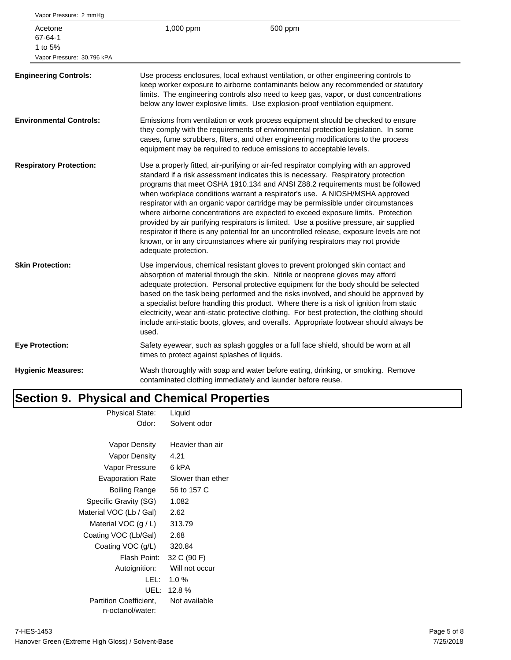| Vapor Pressure: 2 mmHg         |                            |                                               |                                                                                                                                                                                                                                                                                                                                                                                                                                                                                                                                                                                                                                                                                                                                                                                               |
|--------------------------------|----------------------------|-----------------------------------------------|-----------------------------------------------------------------------------------------------------------------------------------------------------------------------------------------------------------------------------------------------------------------------------------------------------------------------------------------------------------------------------------------------------------------------------------------------------------------------------------------------------------------------------------------------------------------------------------------------------------------------------------------------------------------------------------------------------------------------------------------------------------------------------------------------|
| Acetone<br>67-64-1<br>1 to 5%  | Vapor Pressure: 30.796 kPA | 1,000 ppm                                     | 500 ppm                                                                                                                                                                                                                                                                                                                                                                                                                                                                                                                                                                                                                                                                                                                                                                                       |
| <b>Engineering Controls:</b>   |                            |                                               | Use process enclosures, local exhaust ventilation, or other engineering controls to<br>keep worker exposure to airborne contaminants below any recommended or statutory<br>limits. The engineering controls also need to keep gas, vapor, or dust concentrations<br>below any lower explosive limits. Use explosion-proof ventilation equipment.                                                                                                                                                                                                                                                                                                                                                                                                                                              |
| <b>Environmental Controls:</b> |                            |                                               | Emissions from ventilation or work process equipment should be checked to ensure<br>they comply with the requirements of environmental protection legislation. In some<br>cases, fume scrubbers, filters, and other engineering modifications to the process<br>equipment may be required to reduce emissions to acceptable levels.                                                                                                                                                                                                                                                                                                                                                                                                                                                           |
| <b>Respiratory Protection:</b> |                            | adequate protection.                          | Use a properly fitted, air-purifying or air-fed respirator complying with an approved<br>standard if a risk assessment indicates this is necessary. Respiratory protection<br>programs that meet OSHA 1910.134 and ANSI Z88.2 requirements must be followed<br>when workplace conditions warrant a respirator's use. A NIOSH/MSHA approved<br>respirator with an organic vapor cartridge may be permissible under circumstances<br>where airborne concentrations are expected to exceed exposure limits. Protection<br>provided by air purifying respirators is limited. Use a positive pressure, air supplied<br>respirator if there is any potential for an uncontrolled release, exposure levels are not<br>known, or in any circumstances where air purifying respirators may not provide |
| <b>Skin Protection:</b>        |                            | used.                                         | Use impervious, chemical resistant gloves to prevent prolonged skin contact and<br>absorption of material through the skin. Nitrile or neoprene gloves may afford<br>adequate protection. Personal protective equipment for the body should be selected<br>based on the task being performed and the risks involved, and should be approved by<br>a specialist before handling this product. Where there is a risk of ignition from static<br>electricity, wear anti-static protective clothing. For best protection, the clothing should<br>include anti-static boots, gloves, and overalls. Appropriate footwear should always be                                                                                                                                                           |
| <b>Eye Protection:</b>         |                            | times to protect against splashes of liquids. | Safety eyewear, such as splash goggles or a full face shield, should be worn at all                                                                                                                                                                                                                                                                                                                                                                                                                                                                                                                                                                                                                                                                                                           |
| <b>Hygienic Measures:</b>      |                            |                                               | Wash thoroughly with soap and water before eating, drinking, or smoking. Remove<br>contaminated clothing immediately and launder before reuse.                                                                                                                                                                                                                                                                                                                                                                                                                                                                                                                                                                                                                                                |
|                                |                            |                                               |                                                                                                                                                                                                                                                                                                                                                                                                                                                                                                                                                                                                                                                                                                                                                                                               |

#### **Section 9. Physical and Chemical Properties** Physical State: Liquid

| <u>ι προισσι σταισ.</u>       | Liyulu            |
|-------------------------------|-------------------|
| Odor:                         | Solvent odor      |
|                               |                   |
| Vapor Density                 | Heavier than air  |
| Vapor Density                 | 4.21              |
| Vapor Pressure                | 6 kPA             |
| <b>Evaporation Rate</b>       | Slower than ether |
| Boiling Range                 | 56 to 157 C       |
| Specific Gravity (SG)         | 1.082             |
| Material VOC (Lb / Gal)       | 2.62              |
| Material VOC $(g/L)$          | 313.79            |
| Coating VOC (Lb/Gal)          | 2.68              |
| Coating VOC (g/L)             | 320.84            |
| Flash Point:                  | 32 C (90 F)       |
| Autoignition:                 | Will not occur    |
| LEL:                          | $1.0 \%$          |
| UEL: I                        | 12.8%             |
| <b>Partition Coefficient.</b> | Not available     |
| n-octanol/water:              |                   |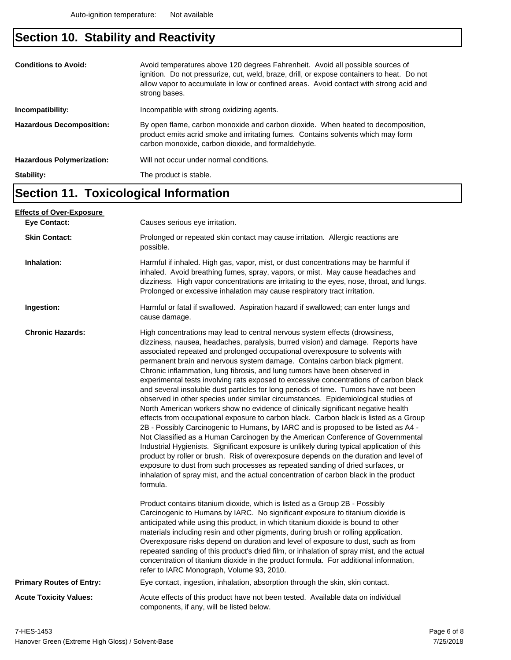## **Section 10. Stability and Reactivity**

| <b>Conditions to Avoid:</b><br>Incompatibility: | Avoid temperatures above 120 degrees Fahrenheit. Avoid all possible sources of<br>ignition. Do not pressurize, cut, weld, braze, drill, or expose containers to heat. Do not<br>allow vapor to accumulate in low or confined areas. Avoid contact with strong acid and<br>strong bases.<br>Incompatible with strong oxidizing agents. |
|-------------------------------------------------|---------------------------------------------------------------------------------------------------------------------------------------------------------------------------------------------------------------------------------------------------------------------------------------------------------------------------------------|
|                                                 |                                                                                                                                                                                                                                                                                                                                       |
| <b>Hazardous Decomposition:</b>                 | By open flame, carbon monoxide and carbon dioxide. When heated to decomposition,<br>product emits acrid smoke and irritating fumes. Contains solvents which may form<br>carbon monoxide, carbon dioxide, and formaldehyde.                                                                                                            |
| <b>Hazardous Polymerization:</b>                | Will not occur under normal conditions.                                                                                                                                                                                                                                                                                               |
| Stability:                                      | The product is stable.                                                                                                                                                                                                                                                                                                                |

### **Section 11. Toxicological Information**

| <u>Effects of Over-Exposure_</u> |                                                                                                                                                                                                                                                                                                                                                                                                                                                                                                                                                                                                                                                                                                                                                                                                                                                                                                                                                                                                                                                                                                                                                                                                                                                                                                                                                                                                                      |  |  |
|----------------------------------|----------------------------------------------------------------------------------------------------------------------------------------------------------------------------------------------------------------------------------------------------------------------------------------------------------------------------------------------------------------------------------------------------------------------------------------------------------------------------------------------------------------------------------------------------------------------------------------------------------------------------------------------------------------------------------------------------------------------------------------------------------------------------------------------------------------------------------------------------------------------------------------------------------------------------------------------------------------------------------------------------------------------------------------------------------------------------------------------------------------------------------------------------------------------------------------------------------------------------------------------------------------------------------------------------------------------------------------------------------------------------------------------------------------------|--|--|
| <b>Eve Contact:</b>              | Causes serious eye irritation.                                                                                                                                                                                                                                                                                                                                                                                                                                                                                                                                                                                                                                                                                                                                                                                                                                                                                                                                                                                                                                                                                                                                                                                                                                                                                                                                                                                       |  |  |
| <b>Skin Contact:</b>             | Prolonged or repeated skin contact may cause irritation. Allergic reactions are<br>possible.                                                                                                                                                                                                                                                                                                                                                                                                                                                                                                                                                                                                                                                                                                                                                                                                                                                                                                                                                                                                                                                                                                                                                                                                                                                                                                                         |  |  |
| Inhalation:                      | Harmful if inhaled. High gas, vapor, mist, or dust concentrations may be harmful if<br>inhaled. Avoid breathing fumes, spray, vapors, or mist. May cause headaches and<br>dizziness. High vapor concentrations are irritating to the eyes, nose, throat, and lungs.<br>Prolonged or excessive inhalation may cause respiratory tract irritation.                                                                                                                                                                                                                                                                                                                                                                                                                                                                                                                                                                                                                                                                                                                                                                                                                                                                                                                                                                                                                                                                     |  |  |
| Ingestion:                       | Harmful or fatal if swallowed. Aspiration hazard if swallowed; can enter lungs and<br>cause damage.                                                                                                                                                                                                                                                                                                                                                                                                                                                                                                                                                                                                                                                                                                                                                                                                                                                                                                                                                                                                                                                                                                                                                                                                                                                                                                                  |  |  |
| <b>Chronic Hazards:</b>          | High concentrations may lead to central nervous system effects (drowsiness,<br>dizziness, nausea, headaches, paralysis, burred vision) and damage. Reports have<br>associated repeated and prolonged occupational overexposure to solvents with<br>permanent brain and nervous system damage. Contains carbon black pigment.<br>Chronic inflammation, lung fibrosis, and lung tumors have been observed in<br>experimental tests involving rats exposed to excessive concentrations of carbon black<br>and several insoluble dust particles for long periods of time. Tumors have not been<br>observed in other species under similar circumstances. Epidemiological studies of<br>North American workers show no evidence of clinically significant negative health<br>effects from occupational exposure to carbon black. Carbon black is listed as a Group<br>2B - Possibly Carcinogenic to Humans, by IARC and is proposed to be listed as A4 -<br>Not Classified as a Human Carcinogen by the American Conference of Governmental<br>Industrial Hygienists. Significant exposure is unlikely during typical application of this<br>product by roller or brush. Risk of overexposure depends on the duration and level of<br>exposure to dust from such processes as repeated sanding of dried surfaces, or<br>inhalation of spray mist, and the actual concentration of carbon black in the product<br>formula. |  |  |
|                                  | Product contains titanium dioxide, which is listed as a Group 2B - Possibly<br>Carcinogenic to Humans by IARC. No significant exposure to titanium dioxide is<br>anticipated while using this product, in which titanium dioxide is bound to other<br>materials including resin and other pigments, during brush or rolling application.<br>Overexposure risks depend on duration and level of exposure to dust, such as from<br>repeated sanding of this product's dried film, or inhalation of spray mist, and the actual<br>concentration of titanium dioxide in the product formula. For additional information,<br>refer to IARC Monograph, Volume 93, 2010.                                                                                                                                                                                                                                                                                                                                                                                                                                                                                                                                                                                                                                                                                                                                                    |  |  |
| <b>Primary Routes of Entry:</b>  | Eye contact, ingestion, inhalation, absorption through the skin, skin contact.                                                                                                                                                                                                                                                                                                                                                                                                                                                                                                                                                                                                                                                                                                                                                                                                                                                                                                                                                                                                                                                                                                                                                                                                                                                                                                                                       |  |  |
| <b>Acute Toxicity Values:</b>    | Acute effects of this product have not been tested. Available data on individual<br>components, if any, will be listed below.                                                                                                                                                                                                                                                                                                                                                                                                                                                                                                                                                                                                                                                                                                                                                                                                                                                                                                                                                                                                                                                                                                                                                                                                                                                                                        |  |  |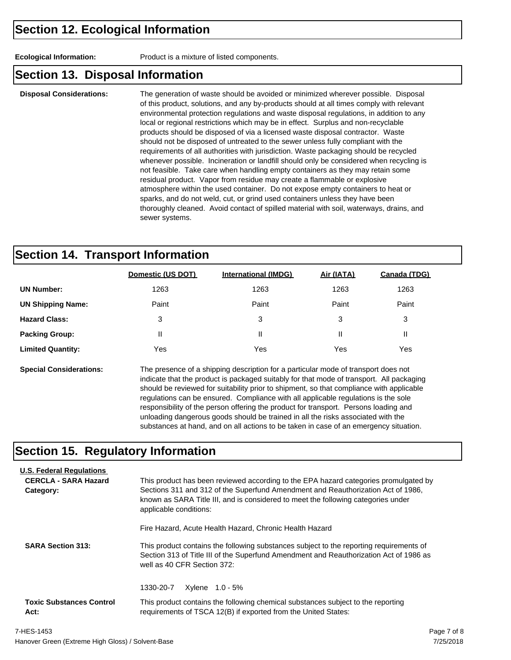**Ecological Information:** Product is a mixture of listed components.

#### **Section 13. Disposal Information**

**Disposal Considerations:** The generation of waste should be avoided or minimized wherever possible. Disposal of this product, solutions, and any by-products should at all times comply with relevant environmental protection regulations and waste disposal regulations, in addition to any local or regional restrictions which may be in effect. Surplus and non-recyclable products should be disposed of via a licensed waste disposal contractor. Waste should not be disposed of untreated to the sewer unless fully compliant with the requirements of all authorities with jurisdiction. Waste packaging should be recycled whenever possible. Incineration or landfill should only be considered when recycling is not feasible. Take care when handling empty containers as they may retain some residual product. Vapor from residue may create a flammable or explosive atmosphere within the used container. Do not expose empty containers to heat or sparks, and do not weld, cut, or grind used containers unless they have been thoroughly cleaned. Avoid contact of spilled material with soil, waterways, drains, and sewer systems.

### **Section 14. Transport Information**

|                          | Domestic (US DOT) | <b>International (IMDG)</b> | Air (IATA) | Canada (TDG) |
|--------------------------|-------------------|-----------------------------|------------|--------------|
| <b>UN Number:</b>        | 1263              | 1263                        | 1263       | 1263         |
| <b>UN Shipping Name:</b> | Paint             | Paint                       | Paint      | Paint        |
| <b>Hazard Class:</b>     | 3                 | 3                           | 3          | 3            |
| <b>Packing Group:</b>    | $\mathsf{I}$      | Ш                           | Ш          | Ш            |
| <b>Limited Quantity:</b> | Yes               | Yes                         | Yes        | Yes          |
|                          |                   |                             |            |              |

**Special Considerations:** The presence of a shipping description for a particular mode of transport does not indicate that the product is packaged suitably for that mode of transport. All packaging should be reviewed for suitability prior to shipment, so that compliance with applicable regulations can be ensured. Compliance with all applicable regulations is the sole responsibility of the person offering the product for transport. Persons loading and unloading dangerous goods should be trained in all the risks associated with the substances at hand, and on all actions to be taken in case of an emergency situation.

#### **Section 15. Regulatory Information**

| <b>U.S. Federal Regulations</b><br><b>CERCLA - SARA Hazard</b><br>Category: | This product has been reviewed according to the EPA hazard categories promulgated by<br>Sections 311 and 312 of the Superfund Amendment and Reauthorization Act of 1986.<br>known as SARA Title III, and is considered to meet the following categories under<br>applicable conditions: |  |  |  |
|-----------------------------------------------------------------------------|-----------------------------------------------------------------------------------------------------------------------------------------------------------------------------------------------------------------------------------------------------------------------------------------|--|--|--|
|                                                                             | Fire Hazard, Acute Health Hazard, Chronic Health Hazard                                                                                                                                                                                                                                 |  |  |  |
| <b>SARA Section 313:</b>                                                    | This product contains the following substances subject to the reporting requirements of<br>Section 313 of Title III of the Superfund Amendment and Reauthorization Act of 1986 as<br>well as 40 CFR Section 372:                                                                        |  |  |  |
|                                                                             | 1330-20-7<br>Xylene 1.0 - 5%                                                                                                                                                                                                                                                            |  |  |  |
| <b>Toxic Substances Control</b><br>Act:                                     | This product contains the following chemical substances subject to the reporting<br>requirements of TSCA 12(B) if exported from the United States:                                                                                                                                      |  |  |  |